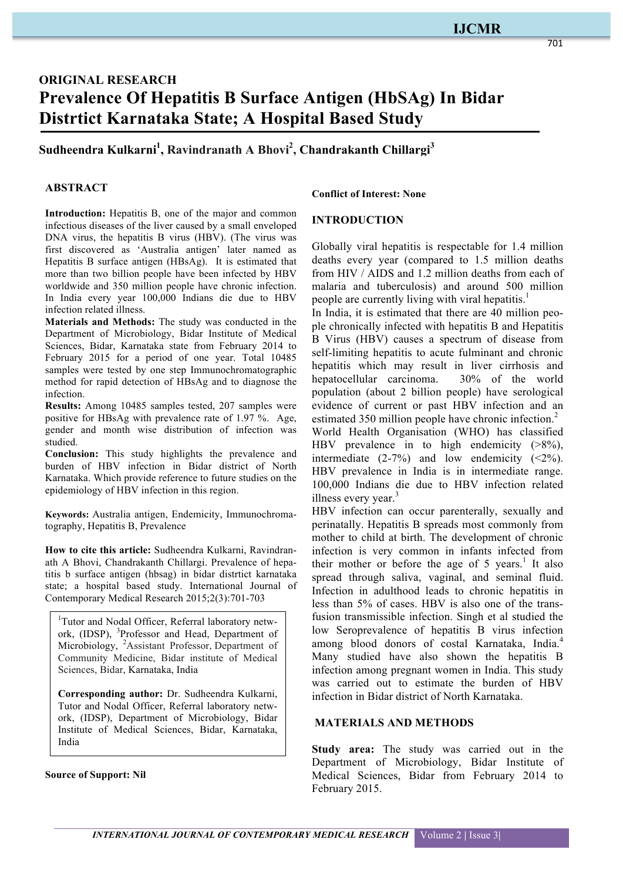### *INTERNATIONAL JOURNAL OF CONTEMPORARY MEDICAL RESEARCH* Volume 2 | Issue 3|

# **ORIGINAL RESEARCH Prevalence Of Hepatitis B Surface Antigen (HbSAg) In Bidar Distrtict Karnataka State; A Hospital Based Study**

## **Sudheendra Kulkarni1 , Ravindranath A Bhovi2 , Chandrakanth Chillargi3**

## **ABSTRACT**

Introduction: Hepatitis B, one of the major and common infectious diseases of the liver caused by a small enveloped DNA virus, the hepatitis B virus (HBV). (The virus was first discovered as 'Australia antigen' later named as Hepatitis B surface antigen (HBsAg). It is estimated that more than two billion people have been infected by HBV worldwide and 350 million people have chronic infection. In India every year 100,000 Indians die due to HBV infection related illness.

**Materials and Methods:** The study was conducted in the Department of Microbiology, Bidar Institute of Medical Sciences, Bidar, Karnataka state from February 2014 to February 2015 for a period of one year. Total 10485 samples were tested by one step Immunochromatographic method for rapid detection of HBsAg and to diagnose the infection.

**Results:** Among 10485 samples tested, 207 samples were positive for HBsAg with prevalence rate of 1.97 %. Age, gender and month wise distribution of infection was studied.

**Conclusion:** This study highlights the prevalence and burden of HBV infection in Bidar district of North Karnataka. Which provide reference to future studies on the epidemiology of HBV infection in this region.

**Keywords:** Australia antigen, Endemicity, Immunochromatography, Hepatitis B, Prevalence

**How to cite this article:** Sudheendra Kulkarni, Ravindranath A Bhovi, Chandrakanth Chillargi. Prevalence of hepatitis b surface antigen (hbsag) in bidar distrtict karnataka state; a hospital based study. International Journal of Contemporary Medical Research 2015;2(3):701-703

<sup>1</sup>Tutor and Nodal Officer, Referral laboratory network, (IDSP), <sup>3</sup>Professor and Head, Department of Microbiology, <sup>2</sup>Assistant Professor, Department of Community Medicine, Bidar institute of Medical Sciences, Bidar, Karnataka, India

**Corresponding author:** Dr. Sudheendra Kulkarni, Tutor and Nodal Officer, Referral laboratory network, (IDSP), Department of Microbiology, Bidar Institute of Medical Sciences, Bidar, Karnataka, India

**Source of Support: Nil**

#### **Conflict of Interest: None**

## **INTRODUCTION**

Globally viral hepatitis is respectable for 1.4 million deaths every year (compared to 1.5 million deaths from HIV / AIDS and 1.2 million deaths from each of malaria and tuberculosis) and around 500 million people are currently living with viral hepatitis.<sup>1</sup>

In India, it is estimated that there are 40 million people chronically infected with hepatitis B and Hepatitis B Virus (HBV) causes a spectrum of disease from self-limiting hepatitis to acute fulminant and chronic hepatitis which may result in liver cirrhosis and hepatocellular carcinoma. 30% of the world population (about 2 billion people) have serological evidence of current or past HBV infection and an estimated 350 million people have chronic infection.<sup>2</sup> World Health Organisation (WHO) has classified HBV prevalence in to high endemicity  $(>\!\!8\%)$ , intermediate  $(2-7%)$  and low endemicity  $(\leq 2%)$ . HBV prevalence in India is in intermediate range. 100,000 Indians die due to HBV infection related illness every year.<sup>3</sup>

HBV infection can occur parenterally, sexually and perinatally. Hepatitis B spreads most commonly from mother to child at birth. The development of chronic infection is very common in infants infected from their mother or before the age of  $5$  years.<sup>1</sup> It also spread through saliva, vaginal, and seminal fluid. Infection in adulthood leads to chronic hepatitis in less than 5% of cases. HBV is also one of the transfusion transmissible infection. Singh et al studied the low Seroprevalence of hepatitis B virus infection among blood donors of costal Karnataka, India.<sup>4</sup> Many studied have also shown the hepatitis B infection among pregnant women in India. This study was carried out to estimate the burden of HBV infection in Bidar district of North Karnataka.

#### **MATERIALS AND METHODS**

**Study area:** The study was carried out in the Department of Microbiology, Bidar Institute of Medical Sciences, Bidar from February 2014 to February 2015.

#### 701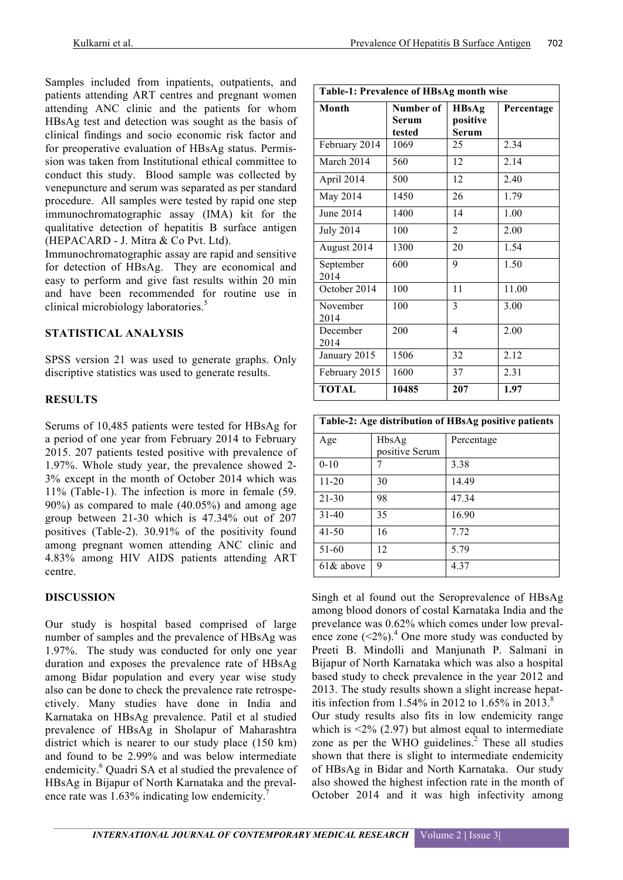Samples included from inpatients, outpatients, and patients attending ART centres and pregnant women attending ANC clinic and the patients for whom HBsAg test and detection was sought as the basis of clinical findings and socio economic risk factor and for preoperative evaluation of HBsAg status. Permission was taken from Institutional ethical committee to conduct this study. Blood sample was collected by venepuncture and serum was separated as per standard procedure. All samples were tested by rapid one step immunochromatographic assay (IMA) kit for the qualitative detection of hepatitis B surface antigen (HEPACARD - J. Mitra & Co Pvt. Ltd).

Immunochromatographic assay are rapid and sensitive for detection of HBsAg. They are economical and easy to perform and give fast results within 20 min and have been recommended for routine use in clinical microbiology laboratories.<sup>5</sup>

## **STATISTICAL ANALYSIS**

SPSS version 21 was used to generate graphs. Only discriptive statistics was used to generate results.

## **RESULTS**

Serums of 10,485 patients were tested for HBsAg for a period of one year from February 2014 to February 2015. 207 patients tested positive with prevalence of 1.97%. Whole study year, the prevalence showed 2- 3% except in the month of October 2014 which was 11% (Table-1). The infection is more in female (59. 90%) as compared to male (40.05%) and among age group between 21-30 which is 47.34% out of 207 positives (Table-2). 30.91% of the positivity found among pregnant women attending ANC clinic and 4.83% among HIV AIDS patients attending ART centre.

## **DISCUSSION**

Our study is hospital based comprised of large number of samples and the prevalence of HBsAg was 1.97%. The study was conducted for only one year duration and exposes the prevalence rate of HBsAg among Bidar population and every year wise study also can be done to check the prevalence rate retrospectively. Many studies have done in India and Karnataka on HBsAg prevalence. Patil et al studied prevalence of HBsAg in Sholapur of Maharashtra district which is nearer to our study place (150 km) and found to be 2.99% and was below intermediate endemicity.<sup>6</sup> Quadri SA et al studied the prevalence of HBsAg in Bijapur of North Karnataka and the prevalence rate was 1.63% indicating low endemicity.<sup>7</sup>

| Table-1: Prevalence of HBsAg month wise |                              |                                   |            |  |
|-----------------------------------------|------------------------------|-----------------------------------|------------|--|
| Month                                   | Number of<br>Serum<br>tested | <b>HBsAg</b><br>positive<br>Serum | Percentage |  |
| February 2014                           | 1069                         | 25                                | 2.34       |  |
| March 2014                              | 560                          | 12                                | 2.14       |  |
| April 2014                              | 500                          | 12                                | 2.40       |  |
| May 2014                                | 1450                         | 26                                | 1.79       |  |
| June 2014                               | 1400                         | 14                                | 1.00       |  |
| <b>July 2014</b>                        | 100                          | $\overline{2}$                    | 2.00       |  |
| August 2014                             | 1300                         | 20                                | 1.54       |  |
| September<br>2014                       | 600                          | 9                                 | 1.50       |  |
| October 2014                            | 100                          | 11                                | 11.00      |  |
| November<br>2014                        | 100                          | 3                                 | 3.00       |  |
| December<br>2014                        | 200                          | 4                                 | 2.00       |  |
| January 2015                            | 1506                         | 32                                | 2.12       |  |
| February 2015                           | 1600                         | 37                                | 2.31       |  |
| <b>TOTAL</b>                            | 10485                        | 207                               | 1.97       |  |

| Table-2: Age distribution of HBsAg positive patients |                         |            |  |
|------------------------------------------------------|-------------------------|------------|--|
| Age                                                  | HbsAg<br>positive Serum | Percentage |  |
| $0 - 10$                                             |                         | 3.38       |  |
| $11 - 20$                                            | 30                      | 14.49      |  |
| 21-30                                                | 98                      | 47.34      |  |
| $31 - 40$                                            | 35                      | 16.90      |  |
| $41 - 50$                                            | 16                      | 7.72       |  |
| 51-60                                                | 12                      | 5.79       |  |
| $61&$ above                                          | 9                       | 4.37       |  |

Singh et al found out the Seroprevalence of HBsAg among blood donors of costal Karnataka India and the prevelance was 0.62% which comes under low prevalence zone  $(<2\%)$ <sup>4</sup>. One more study was conducted by Preeti B. Mindolli and Manjunath P. Salmani in Bijapur of North Karnataka which was also a hospital based study to check prevalence in the year 2012 and 2013. The study results shown a slight increase hepatitis infection from 1.54% in 2012 to  $1.65\%$  in 2013.<sup>8</sup> Our study results also fits in low endemicity range which is  $\leq$ 2% (2.97) but almost equal to intermediate zone as per the WHO guidelines. $<sup>2</sup>$  These all studies</sup> shown that there is slight to intermediate endemicity of HBsAg in Bidar and North Karnataka. Our study also showed the highest infection rate in the month of October 2014 and it was high infectivity among